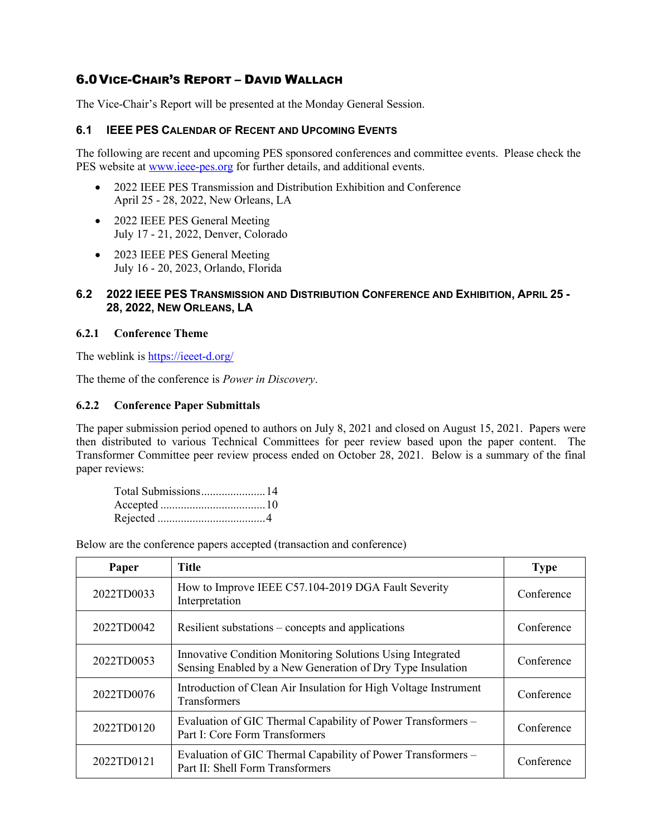# 6.0VICE-CHAIR'S REPORT – DAVID WALLACH

The Vice-Chair's Report will be presented at the Monday General Session.

## **6.1 IEEE PES CALENDAR OF RECENT AND UPCOMING EVENTS**

The following are recent and upcoming PES sponsored conferences and committee events. Please check the PES website a[t www.ieee-pes.org](http://www.ieee-pes.org/) for further details, and additional events.

- 2022 IEEE PES Transmission and Distribution Exhibition and Conference April 25 - 28, 2022, New Orleans, LA
- 2022 IEEE PES General Meeting July 17 - 21, 2022, Denver, Colorado
- 2023 IEEE PES General Meeting July 16 - 20, 2023, Orlando, Florida

## **6.2 2022 IEEE PES TRANSMISSION AND DISTRIBUTION CONFERENCE AND EXHIBITION, APRIL 25 - 28, 2022, NEW ORLEANS, LA**

## **6.2.1 Conference Theme**

The weblink is<https://ieeet-d.org/>

The theme of the conference is *Power in Discovery*.

#### **6.2.2 Conference Paper Submittals**

The paper submission period opened to authors on July 8, 2021 and closed on August 15, 2021. Papers were then distributed to various Technical Committees for peer review based upon the paper content. The Transformer Committee peer review process ended on October 28, 2021. Below is a summary of the final paper reviews:

| Total Submissions14 |  |
|---------------------|--|
|                     |  |
|                     |  |

Below are the conference papers accepted (transaction and conference)

| Paper      | <b>Title</b>                                                                                                             | <b>Type</b> |
|------------|--------------------------------------------------------------------------------------------------------------------------|-------------|
| 2022TD0033 | How to Improve IEEE C57.104-2019 DGA Fault Severity<br>Interpretation                                                    | Conference  |
| 2022TD0042 | Resilient substations – concepts and applications                                                                        | Conference  |
| 2022TD0053 | Innovative Condition Monitoring Solutions Using Integrated<br>Sensing Enabled by a New Generation of Dry Type Insulation | Conference  |
| 2022TD0076 | Introduction of Clean Air Insulation for High Voltage Instrument<br><b>Transformers</b>                                  | Conference  |
| 2022TD0120 | Evaluation of GIC Thermal Capability of Power Transformers -<br>Part I: Core Form Transformers                           | Conference  |
| 2022TD0121 | Evaluation of GIC Thermal Capability of Power Transformers -<br>Part II: Shell Form Transformers                         | Conference  |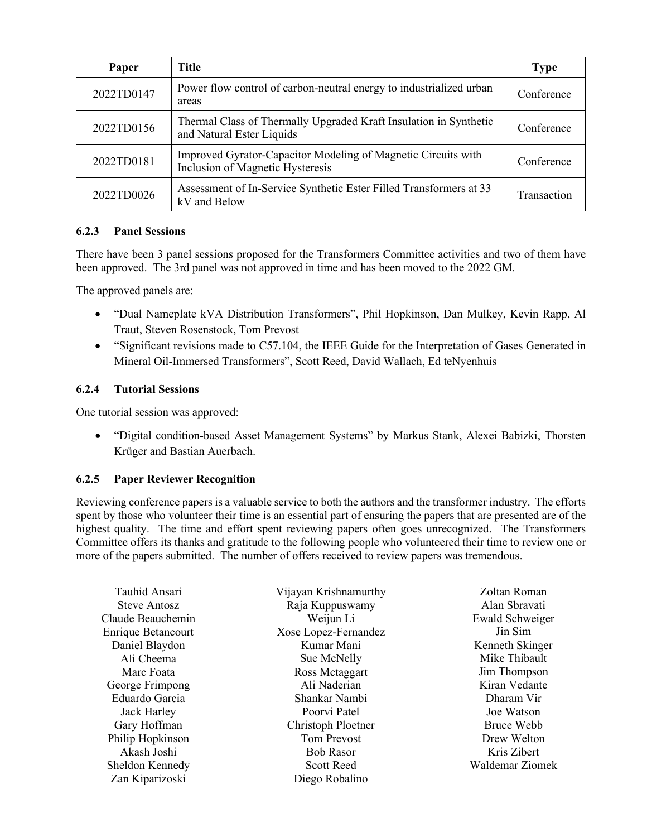| Paper      | <b>Title</b>                                                                                      | <b>Type</b> |
|------------|---------------------------------------------------------------------------------------------------|-------------|
| 2022TD0147 | Power flow control of carbon-neutral energy to industrialized urban<br>areas                      | Conference  |
| 2022TD0156 | Thermal Class of Thermally Upgraded Kraft Insulation in Synthetic<br>and Natural Ester Liquids    | Conference  |
| 2022TD0181 | Improved Gyrator-Capacitor Modeling of Magnetic Circuits with<br>Inclusion of Magnetic Hysteresis | Conference  |
| 2022TD0026 | Assessment of In-Service Synthetic Ester Filled Transformers at 33<br>kV and Below                | Transaction |

## **6.2.3 Panel Sessions**

There have been 3 panel sessions proposed for the Transformers Committee activities and two of them have been approved. The 3rd panel was not approved in time and has been moved to the 2022 GM.

The approved panels are:

- "Dual Nameplate kVA Distribution Transformers", Phil Hopkinson, Dan Mulkey, Kevin Rapp, Al Traut, Steven Rosenstock, Tom Prevost
- "Significant revisions made to C57.104, the IEEE Guide for the Interpretation of Gases Generated in Mineral Oil-Immersed Transformers", Scott Reed, David Wallach, Ed teNyenhuis

## **6.2.4 Tutorial Sessions**

One tutorial session was approved:

• "Digital condition-based Asset Management Systems" by Markus Stank, Alexei Babizki, Thorsten Krüger and Bastian Auerbach.

#### **6.2.5 Paper Reviewer Recognition**

Reviewing conference papers is a valuable service to both the authors and the transformer industry. The efforts spent by those who volunteer their time is an essential part of ensuring the papers that are presented are of the highest quality. The time and effort spent reviewing papers often goes unrecognized. The Transformers Committee offers its thanks and gratitude to the following people who volunteered their time to review one or more of the papers submitted. The number of offers received to review papers was tremendous.

| Tauhid Ansari             | Vijayan Krishnamurthy | Zoltan Roman    |
|---------------------------|-----------------------|-----------------|
| Steve Antosz              | Raja Kuppuswamy       | Alan Sbravati   |
| Claude Beauchemin         | Weijun Li             | Ewald Schweiger |
| <b>Enrique Betancourt</b> | Xose Lopez-Fernandez  | Jin Sim         |
| Daniel Blaydon            | Kumar Mani            | Kenneth Skinger |
| Ali Cheema                | Sue McNelly           | Mike Thibault   |
| Marc Foata                | Ross Mctaggart        | Jim Thompson    |
| George Frimpong           | Ali Naderian          | Kiran Vedante   |
| Eduardo Garcia            | Shankar Nambi         | Dharam Vir      |
| Jack Harley               | Poorvi Patel          | Joe Watson      |
| Gary Hoffman              | Christoph Ploetner    | Bruce Webb      |
| Philip Hopkinson          | <b>Tom Prevost</b>    | Drew Welton     |
| Akash Joshi               | <b>Bob Rasor</b>      | Kris Zibert     |
| Sheldon Kennedy           | <b>Scott Reed</b>     | Waldemar Ziomek |
| Zan Kiparizoski           | Diego Robalino        |                 |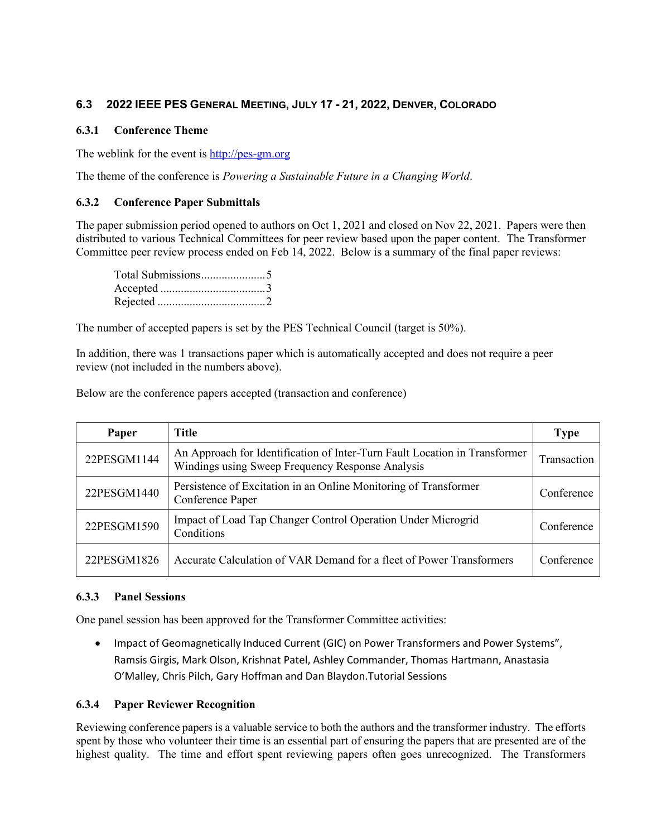## **6.3 2022 IEEE PES GENERAL MEETING, JULY 17 - 21, 2022, DENVER, COLORADO**

## **6.3.1 Conference Theme**

The weblink for the event is [http://pes-gm.org](http://pes-gm.org/)

The theme of the conference is *Powering a Sustainable Future in a Changing World*.

## **6.3.2 Conference Paper Submittals**

The paper submission period opened to authors on Oct 1, 2021 and closed on Nov 22, 2021. Papers were then distributed to various Technical Committees for peer review based upon the paper content. The Transformer Committee peer review process ended on Feb 14, 2022. Below is a summary of the final paper reviews:

The number of accepted papers is set by the PES Technical Council (target is 50%).

In addition, there was 1 transactions paper which is automatically accepted and does not require a peer review (not included in the numbers above).

Below are the conference papers accepted (transaction and conference)

| Paper       | Title                                                                                                                          | <b>Type</b>        |
|-------------|--------------------------------------------------------------------------------------------------------------------------------|--------------------|
| 22PESGM1144 | An Approach for Identification of Inter-Turn Fault Location in Transformer<br>Windings using Sweep Frequency Response Analysis | <b>Transaction</b> |
| 22PESGM1440 | Persistence of Excitation in an Online Monitoring of Transformer<br>Conference Paper                                           | Conference         |
| 22PESGM1590 | Impact of Load Tap Changer Control Operation Under Microgrid<br>Conditions                                                     | Conference         |
| 22PESGM1826 | Accurate Calculation of VAR Demand for a fleet of Power Transformers                                                           | Conference         |

#### **6.3.3 Panel Sessions**

One panel session has been approved for the Transformer Committee activities:

• Impact of Geomagnetically Induced Current (GIC) on Power Transformers and Power Systems", Ramsis Girgis, Mark Olson, Krishnat Patel, Ashley Commander, Thomas Hartmann, Anastasia O'Malley, Chris Pilch, Gary Hoffman and Dan Blaydon.Tutorial Sessions

## **6.3.4 Paper Reviewer Recognition**

Reviewing conference papers is a valuable service to both the authors and the transformer industry. The efforts spent by those who volunteer their time is an essential part of ensuring the papers that are presented are of the highest quality. The time and effort spent reviewing papers often goes unrecognized. The Transformers